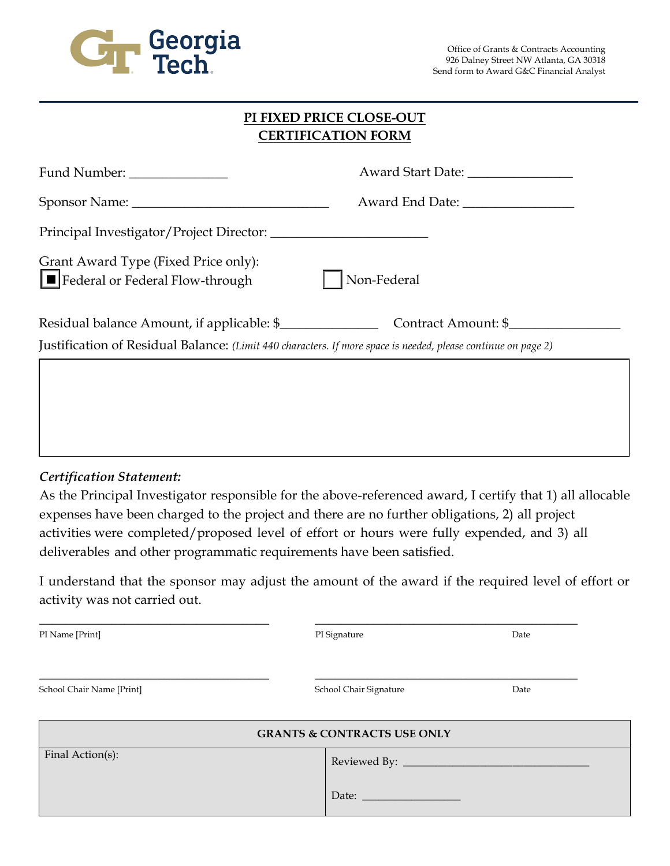

| PI FIXED PRICE CLOSE-OUT  |
|---------------------------|
| <b>CERTIFICATION FORM</b> |

| Award Start Date: _________________                                                                           |
|---------------------------------------------------------------------------------------------------------------|
|                                                                                                               |
|                                                                                                               |
| Non-Federal                                                                                                   |
| Residual balance Amount, if applicable: \$<br>Contract Amount: \$                                             |
| Justification of Residual Balance: (Limit 440 characters. If more space is needed, please continue on page 2) |
|                                                                                                               |
|                                                                                                               |

## *Certification Statement:*

As the Principal Investigator responsible for the above-referenced award, I certify that 1) all allocable expenses have been charged to the project and there are no further obligations, 2) all project activities were completed/proposed level of effort or hours were fully expended, and 3) all deliverables and other programmatic requirements have been satisfied.

I understand that the sponsor may adjust the amount of the award if the required level of effort or activity was not carried out.

| PI Name [Print]                        | PI Signature           | Date |  |
|----------------------------------------|------------------------|------|--|
| School Chair Name [Print]              | School Chair Signature | Date |  |
| <b>GRANTS &amp; CONTRACTS USE ONLY</b> |                        |      |  |
| Final Action(s):                       |                        |      |  |
|                                        |                        |      |  |